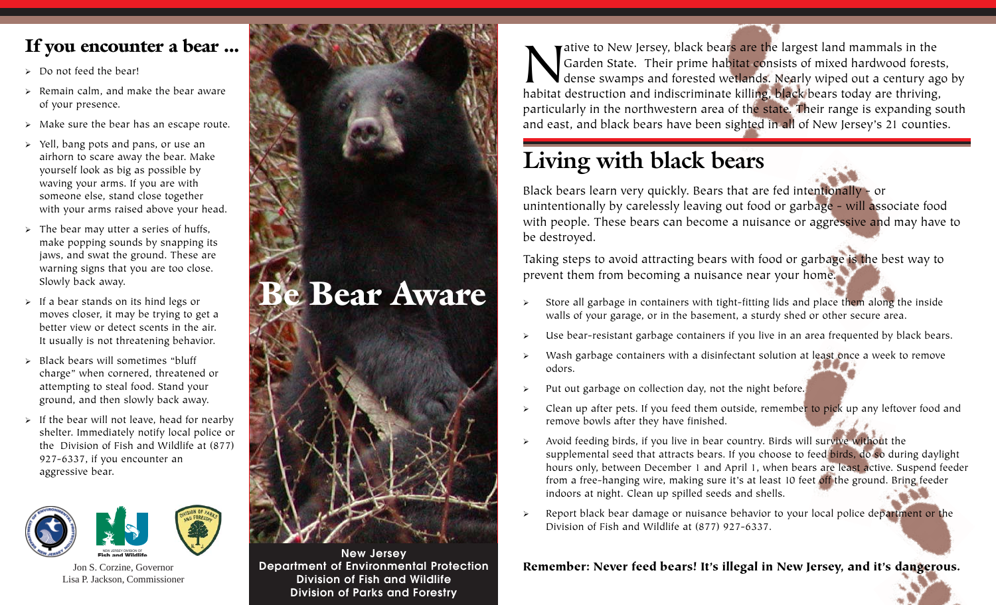### **If you encounter a bear ...**

- $\geq$  Do not feed the bear!
- $\triangleright$  Remain calm, and make the bear aware of your presence.
- $\triangleright$  Make sure the bear has an escape route.
- ¾ Yell, bang pots and pans, or use an airhorn to scare away the bear. Make yourself look as big as possible by waving your arms. If you are with someone else, stand close together with your arms raised above your head.
- $\triangleright$  The bear may utter a series of huffs, make popping sounds by snapping its jaws, and swat the ground. These are warning signs that you are too close. Slowly back away.
- $\triangleright$  If a bear stands on its hind legs or moves closer, it may be trying to get a better view or detect scents in the air. It usually is not threatening behavior.
- $\triangleright$  Black bears will sometimes "bluff" charge" when cornered, threatened or attempting to steal food. Stand your ground, and then slowly back away.
- If the bear will not leave, head for nearby shelter. Immediately notify local police or the Division of Fish and Wildlife at (877) 927-6337, if you encounter an aggressive bear.



Jon S. Corzine, Governor Lisa P. Jackson, Commissioner



**New Jersey Department of Environmental Protection Division of Fish and Wildlife Division of Parks and Forestry**

All a state of New Jersey, black bears are the largest land mammals in the Garden State. Their prime habitat consists of mixed hardwood fores dense swamps and forested wetlands. Nearly wiped out a century as habitat destru Garden State. Their prime habitat consists of mixed hardwood forests, dense swamps and forested wetlands. Nearly wiped out a century ago by habitat destruction and indiscriminate killing, black bears today are thriving, particularly in the northwestern area of the state. Their range is expanding south and east, and black bears have been sighted in all of New Jersey's 21 counties.

## **Living with black bears**

Black bears learn very quickly. Bears that are fed intentionally - or unintentionally by carelessly leaving out food or garbage - will associate food with people. These bears can become a nuisance or aggressive and may have to be destroyed.

Taking steps to avoid attracting bears with food or garbage is the best way to prevent them from becoming a nuisance near your home.

- Store all garbage in containers with tight-fitting lids and place them along the inside walls of your garage, or in the basement, a sturdy shed or other secure area.
- Use bear-resistant garbage containers if you live in an area frequented by black bears.
- Wash garbage containers with a disinfectant solution at least once a week to remove odors.
- ¾ Put out garbage on collection day, not the night before.
- ¾ Clean up after pets. If you feed them outside, remember to pick up any leftover food and remove bowls after they have finished.
- $\rightarrow$  Avoid feeding birds, if you live in bear country. Birds will survive without the supplemental seed that attracts bears. If you choose to feed birds, do so during daylight hours only, between December 1 and April 1, when bears are least active. Suspend feeder from a free-hanging wire, making sure it's at least 10 feet off the ground. Bring feeder indoors at night. Clean up spilled seeds and shells.
- $\triangleright$  Report black bear damage or nuisance behavior to your local police department or the Division of Fish and Wildlife at (877) 927-6337.

#### **Remember: Never feed bears! It's illegal in New Jersey, and it's dangerous.**